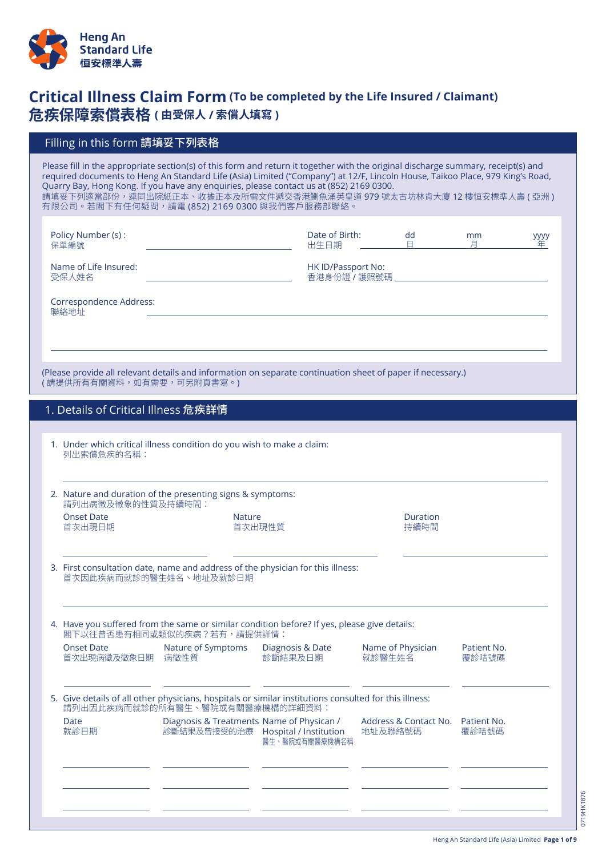

# **Critical Illness Claim Form (To be completed by the Life Insured / Claimant) 危疾保障索償表格 ( 由受保人 / 索償人填寫 )**

### Filling in this form 請填妥下列表格

Please fill in the appropriate section(s) of this form and return it together with the original discharge summary, receipt(s) and required documents to Heng An Standard Life (Asia) Limited ("Company") at 12/F, Lincoln House, Taikoo Place, 979 King's Road, Quarry Bay, Hong Kong. If you have any enquiries, please contact us at (852) 2169 0300. 請填妥下列適當部份,連同出院紙正本、收據正本及所需文件遞交香港鰂魚涌英皇道 979 號太古坊林肯大廈 12 樓恒安標準人壽 ( 亞洲 ) 有限公司。若閣下有任何疑問,請電 (852) 2169 0300 與我們客戶服務部聯絡。

| Policy Number (s) :<br>保單編號    | Date of Birth:<br>出生日期             | dd | mm | уууу |
|--------------------------------|------------------------------------|----|----|------|
| Name of Life Insured:<br>受保人姓名 | HK ID/Passport No:<br>香港身份證 / 護照號碼 |    |    |      |

Correspondence Address: 聯絡地址

(Please provide all relevant details and information on separate continuation sheet of paper if necessary.) 。<br>( 請提供所有有關資料,如有需要,可另附頁書寫。)

| 1. Details of Critical Illness 危疾詳情 |  |
|-------------------------------------|--|
|-------------------------------------|--|

| 1. Under which critical illness condition do you wish to make a claim: |  |  |  |
|------------------------------------------------------------------------|--|--|--|
| 列出索償危疾的名稱:                                                             |  |  |  |

| 2. Nature and duration of the presenting signs & symptoms:<br>請列出病徵及徵象的性質及持續時間: |               |          |
|---------------------------------------------------------------------------------|---------------|----------|
| Onset Date                                                                      | <b>Nature</b> | Duration |

| Onset Date | <b>Nature</b> | Duration |
|------------|---------------|----------|
| 首次出現日期     | 首次出現性質        | 持續時間     |

3. First consultation date, name and address of the physician for this illness: 首次因此疾病而就診的醫生姓名、地址及就診日期

4. Have you suffered from the same or similar condition before? If yes, please give details: 閣下以往曾否患有相同或類似的疾病?若有,請提供詳情:

| <b>Onset Date</b><br>首次出現病徵及徵象日期                                                                                                          | Nature of Symptoms<br>病徵性質                                                      | Diagnosis & Date<br>診斷結果及日期 | Name of Physician<br>就診醫生姓名      | Patient No.<br>覆診咭號碼 |
|-------------------------------------------------------------------------------------------------------------------------------------------|---------------------------------------------------------------------------------|-----------------------------|----------------------------------|----------------------|
| 5. Give details of all other physicians, hospitals or similar institutions consulted for this illness:<br>請列出因此疾病而就診的所有醫生、醫院或有關醫療機構的詳細資料: |                                                                                 |                             |                                  |                      |
| Date<br>就診日期                                                                                                                              | Diagnosis & Treatments Name of Physican /<br>診斷結果及曾接受的治療 Hospital / Institution | 醫生、醫院或有關醫療機構名稱              | Address & Contact No.<br>地址及聯絡號碼 | Patient No.<br>覆診咭號碼 |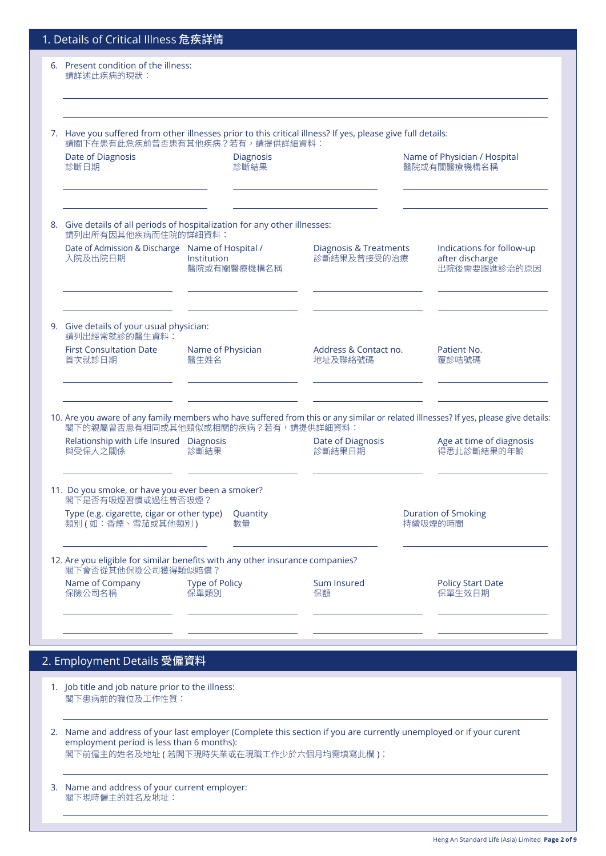| 1. Details of Critical Illness 危疾詳情                                                                                                                                        |                            |                                                  |                                                                                                                                                                                 |
|----------------------------------------------------------------------------------------------------------------------------------------------------------------------------|----------------------------|--------------------------------------------------|---------------------------------------------------------------------------------------------------------------------------------------------------------------------------------|
| 6. Present condition of the illness:<br>請詳述此疾病的現狀:                                                                                                                         |                            |                                                  |                                                                                                                                                                                 |
| 7. Have you suffered from other illnesses prior to this critical illness? If yes, please give full details:<br>請閣下在患有此危疾前曾否患有其他疾病?若有,請提供詳細資料:<br>Date of Diagnosis<br>診斷日期 | <b>Diagnosis</b><br>診斷結果   |                                                  | Name of Physician / Hospital<br>醫院或有關醫療機構名稱                                                                                                                                     |
| 8. Give details of all periods of hospitalization for any other illnesses:                                                                                                 |                            |                                                  |                                                                                                                                                                                 |
| 請列出所有因其他疾病而住院的詳細資料:<br>Date of Admission & Discharge Name of Hospital /<br>入院及出院日期                                                                                         | Institution<br>醫院或有關醫療機構名稱 | <b>Diagnosis &amp; Treatments</b><br>診斷結果及曾接受的治療 | Indications for follow-up<br>after discharge<br>出院後需要跟進診治的原因                                                                                                                    |
| 9. Give details of your usual physician:<br>請列出經常就診的醫生資料:<br><b>First Consultation Date</b><br>首次就診日期                                                                      | Name of Physician<br>醫生姓名  | Address & Contact no.<br>地址及聯絡號碼                 | Patient No.<br>覆診咭號碼                                                                                                                                                            |
| 閣下的親屬曾否患有相同或其他類似或相關的疾病?若有,請提供詳細資料:<br>Relationship with Life Insured Diagnosis<br>與受保人之關係                                                                                  | 診斷結果                       | Date of Diagnosis<br>診斷結果日期                      | 10. Are you aware of any family members who have suffered from this or any similar or related illnesses? If yes, please give details:<br>Age at time of diagnosis<br>得悉此診斷結果的年齡 |
| 11. Do you smoke, or have you ever been a smoker?<br>閣下是否有吸煙習慣或過往曾否吸煙?<br>Type (e.g. cigarette, cigar or other type)<br>類別 (如:香煙、雪茄或其他類別)                                  | Quantity<br>數量             |                                                  | <b>Duration of Smoking</b><br>持續吸煙的時間                                                                                                                                           |
| 12. Are you eligible for similar benefits with any other insurance companies?<br>閣下會否從其他保險公司獲得類似賠償?<br>Name of Company                                                     | <b>Type of Policy</b>      | Sum Insured                                      | <b>Policy Start Date</b>                                                                                                                                                        |
| 保險公司名稱<br>2. Employment Details 受僱資料                                                                                                                                       | 保單類別                       | 保額                                               | 保單生效日期                                                                                                                                                                          |

- 1. Job title and job nature prior to the illness: 閣下患病前的職位及工作性質:
- 2. Name and address of your last employer (Complete this section if you are currently unemployed or if your curent employment period is less than 6 months): 閣下前僱主的姓名及地址 ( 若閣下現時失業或在現職工作少於六個月均需填寫此欄 ):
- 3. Name and address of your current employer: nume and document on your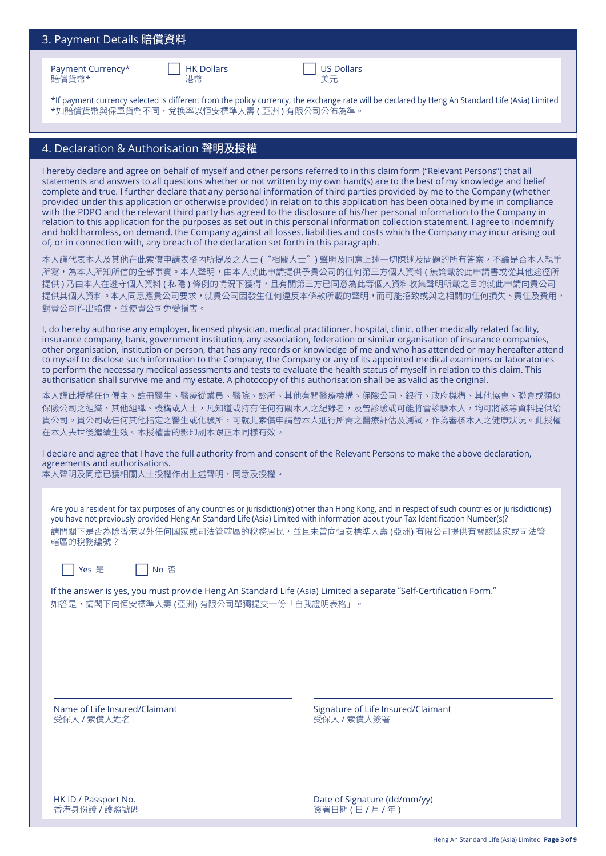### 3. Payment Details 賠償資料

Payment Currency\* c HK Dollars c US Dollars 賠償貨幣\*

| <b>US Dollars</b> |
|-------------------|
| 圭元.               |

\*If payment currency selected is different from the policy currency, the exchange rate will be declared by Heng An Standard Life (Asia) Limited \*如賠償貨幣與保單貨幣不同,兌換率以恒安標準人壽 ( 亞洲 ) 有限公司公佈為準。

### 4. Declaration & Authorisation 聲明及授權

I hereby declare and agree on behalf of myself and other persons referred to in this claim form ("Relevant Persons") that all statements and answers to all questions whether or not written by my own hand(s) are to the best of my knowledge and belief complete and true. I further declare that any personal information of third parties provided by me to the Company (whether provided under this application or otherwise provided) in relation to this application has been obtained by me in compliance with the PDPO and the relevant third party has agreed to the disclosure of his/her personal information to the Company in relation to this application for the purposes as set out in this personal information collection statement. I agree to indemnify and hold harmless, on demand, the Company against all losses, liabilities and costs which the Company may incur arising out of, or in connection with, any breach of the declaration set forth in this paragraph.

本人謹代表本人及其他在此索償申請表格內所提及之人士 ("相關人士") 聲明及同意上述一切陳述及問題的所有答案,不論是否本人親手 所寫,為本人所知所信的全部事實。本人聲明,由本人就此申請提供予貴公司的任何第三方個人資料 ( 無論載於此申請書或從其他途徑所 提供 ) 乃由本人在遵守個人資料 ( 私隱 ) 條例的情況下獲得,且有關第三方已同意為此等個人資料收集聲明所載之目的就此申請向貴公司 提供其個人資料。本人同意應貴公司要求,就貴公司因發生任何違反本條款所載的聲明,而可能招致或與之相關的任何損失、責任及費用, 對貴公司作出賠償,並使貴公司免受損害。

I, do hereby authorise any employer, licensed physician, medical practitioner, hospital, clinic, other medically related facility, insurance company, bank, government institution, any association, federation or similar organisation of insurance companies, other organisation, institution or person, that has any records or knowledge of me and who has attended or may hereafter attend to myself to disclose such information to the Company; the Company or any of its appointed medical examiners or laboratories to perform the necessary medical assessments and tests to evaluate the health status of myself in relation to this claim. This authorisation shall survive me and my estate. A photocopy of this authorisation shall be as valid as the original.

本人謹此授權任何僱主、註冊醫生、醫療從業員、醫院、診所、其他有關醫療機構、保險公司、銀行、政府機構、其他協會、聯會或類似 保險公司之組織、其他組織、機構或人士,凡知道或持有任何有關本人之紀錄者,及曾診驗或可能將會診驗本人,均可將該等資料提供給 貴公司。貴公司或任何其他指定之醫生或化驗所,可就此索償申請替本人進行所需之醫療評估及測試,作為審核本人之健康狀況。此授權 在本人去世後繼續生效。本授權書的影印副本跟正本同樣有效。

I declare and agree that I have the full authority from and consent of the Relevant Persons to make the above declaration, agreements and authorisations.

本人聲明及同意已獲相關人士授權作出上述聲明,同意及授權。

Are you a resident for tax purposes of any countries or jurisdiction(s) other than Hong Kong, and in respect of such countries or jurisdiction(s) you have not previously provided Heng An Standard Life (Asia) Limited with information about your Tax Identification Number(s)? 請問閣下是否為除香港以外任何國家或司法管轄區的稅務居民,並且未曾向恒安標準人壽 (亞洲) 有限公司提供有關該國家或司法管 轄區的稅務編號?





If the answer is yes, you must provide Heng An Standard Life (Asia) Limited a separate "Self-Certification Form." 如答是,請閣下向恒安標準人壽 (亞洲) 有限公司單獨提交一份「自我證明表格」。

Name of Life Insured/Claimant and the Signature of Life Insured/Claimant<br>受保人 / 索償人姓名 受保人 / 索償人簽署

HK ID / Passport No. 2008 Control of the Signature (dd/mm/yy) 香港身份證/護照號碼 ねんしゃ しんしゃ しんしゃ しんしゃ しんこう 簽署日期 ( 日 / 月 / 年 )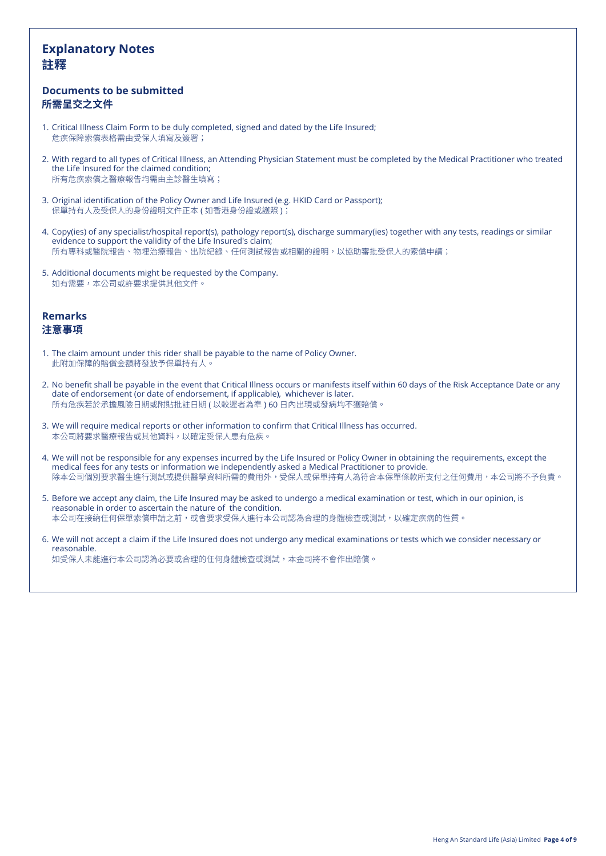## **Explanatory Notes 註釋**

### **Documents to be submitted 所需呈交之文件**

- 1. Critical Illness Claim Form to be duly completed, signed and dated by the Life Insured; 危疾保障索償表格需由受保人填寫及簽署;
- 2. with regard to all types of Critical Illness, an Attending Physician Statement must be completed by the Medical Practitioner who treated the Life Insured for the claimed condition; 所有危疾索償之醫療報告均需由主診醫生填寫;
- 3. Original identification of the Policy Owner and Life Insured (e.g. HKID Card or Passport); 保單持有人及受保人的身份證明文件正本 ( 如香港身份證或護照 );
- 4. Copy(ies) of any specialist/hospital report(s), pathology report(s), discharge summary(ies) together with any tests, readings or similar evidence to support the validity of the Life Insured's claim; 所有專科或醫院報告、物埋治療報告、出院紀錄、任何測試報告或相關的證明,以協助審批受保人的索償申請;
- 5. Additional documents might be requested by the Company. 如有需要,本公司或許要求提供其他文件。

### **Remarks 注意事項**

- 1. The claim amount under this rider shall be payable to the name of Policy Owner. 此附加保障的賠償金額將發放予保單持有人。
- 2. No benefit shall be payable in the event that Critical Illness occurs or manifests itself within 60 days of the Risk Acceptance Date or any date of endorsement (or date of endorsement, if applicable), whichever is later. 所有危疾若於承擔風險日期或附貼批註日期 ( 以較遲者為準 ) 60 日內出現或發病均不獲賠償。
- 3. we will require medical reports or other information to confirm that Critical Illness has occurred. 本公司將要求醫療報告或其他資料,以確定受保人患有危疾。
- 4. we will not be responsible for any expenses incurred by the Life Insured or Policy Owner in obtaining the requirements, except the medical fees for any tests or information we independently asked a Medical Practitioner to provide. 除本公司個別要求醫生進行測試或提供醫學資料所需的費用外,受保人或保單持有人為符合本保單條款所支付之任何費用,本公司將不予負責。
- 5. Before we accept any claim, the Life Insured may be asked to undergo a medical examination or test, which in our opinion, is reasonable in order to ascertain the nature of the condition. 本公司在接納任何保單索償申請之前,或會要求受保人進行本公司認為合理的身體檢查或測試,以確定疾病的性質。
- 6. we will not accept a claim if the Life Insured does not undergo any medical examinations or tests which we consider necessary or reasonable. 如受保人未能進行本公司認為必要或合理的任何身體檢查或測試,本金司將不會作出賠償。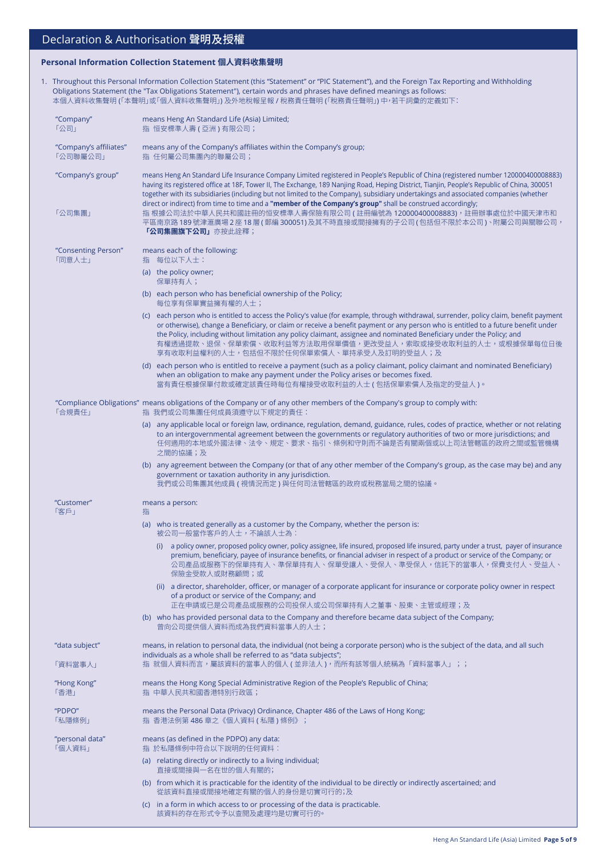#### **Personal Information Collection Statement 個人資料收集聲明**

1. Throughout this Personal Information Collection Statement (this "Statement" or "PIC Statement"), and the Foreign Tax Reporting and withholding Obligations Statement (the "Tax Obligations Statement"), certain words and phrases have defined meanings as follows: 本個人資料收集聲明「( 本聲明」或「個人資料收集聲明」) 及外地稅報呈報 / 稅務責任聲明「( 稅務責任聲明」) 中,若干詞彙的定義如下:

| "Company"<br>「公司」                  | means Heng An Standard Life (Asia) Limited;<br>指 恒安標準人壽 (亞洲) 有限公司;                                                                                                                                                                                                                                                                                                                                                                                                                                                                                                                                                                                                                                                             |
|------------------------------------|--------------------------------------------------------------------------------------------------------------------------------------------------------------------------------------------------------------------------------------------------------------------------------------------------------------------------------------------------------------------------------------------------------------------------------------------------------------------------------------------------------------------------------------------------------------------------------------------------------------------------------------------------------------------------------------------------------------------------------|
| "Company's affiliates"<br>「公司聯屬公司」 | means any of the Company's affiliates within the Company's group;<br>指 任何屬公司集團內的聯屬公司;                                                                                                                                                                                                                                                                                                                                                                                                                                                                                                                                                                                                                                          |
| "Company's group"<br>「公司集團」        | means Heng An Standard Life Insurance Company Limited registered in People's Republic of China (registered number 120000400008883)<br>having its registered office at 18F, Tower II, The Exchange, 189 Nanjing Road, Heping District, Tianjin, People's Republic of China, 300051<br>together with its subsidiaries (including but not limited to the Company), subsidiary undertakings and associated companies (whether<br>direct or indirect) from time to time and a "member of the Company's group" shall be construed accordingly;<br>指 根據公司法於中華人民共和國註冊的恒安標準人壽保險有限公司 (註冊編號為 120000400008883),註冊辦事處位於中國天津市和<br>平區南京路 189 號津滙廣場 2 座 18 層 ( 郵編 300051) 及其不時直接或間接擁有的子公司 ( 包括但不限於本公司 )、附屬公司與關聯公司,<br><b>「公司集團旗下公司」</b> 亦按此詮釋; |
| "Consenting Person"<br>「同意人士」      | means each of the following:<br>指 每位以下人士:                                                                                                                                                                                                                                                                                                                                                                                                                                                                                                                                                                                                                                                                                      |
|                                    | (a) the policy owner;<br>保單持有人;                                                                                                                                                                                                                                                                                                                                                                                                                                                                                                                                                                                                                                                                                                |
|                                    | (b) each person who has beneficial ownership of the Policy;<br>每位享有保單實益擁有權的人士;                                                                                                                                                                                                                                                                                                                                                                                                                                                                                                                                                                                                                                                 |
|                                    | each person who is entitled to access the Policy's value (for example, through withdrawal, surrender, policy claim, benefit payment<br>(C)<br>or otherwise), change a Beneficiary, or claim or receive a benefit payment or any person who is entitled to a future benefit under<br>the Policy, including without limitation any policy claimant, assignee and nominated Beneficiary under the Policy; and<br>有權透過提款、退保、保單索償、收取利益等方法取用保單價值,更改受益人,索取或接受收取利益的人士,或根據保單每位日後<br>享有收取利益權利的人士,包括但不限於任何保單索償人、單持承受人及訂明的受益人;及                                                                                                                                                                                                            |
|                                    | (d) each person who is entitled to receive a payment (such as a policy claimant, policy claimant and nominated Beneficiary)<br>when an obligation to make any payment under the Policy arises or becomes fixed.<br>當有責任根據保單付款或確定該責任時每位有權接受收取利益的人士 ( 包括保單索償人及指定的受益人 )。                                                                                                                                                                                                                                                                                                                                                                                                                                                          |
| 「合規責任」                             | "Compliance Obligations" means obligations of the Company or of any other members of the Company's group to comply with:<br>指 我們或公司集團任何成員須遵守以下規定的責任:                                                                                                                                                                                                                                                                                                                                                                                                                                                                                                                                                                           |
|                                    | (a) any applicable local or foreign law, ordinance, regulation, demand, guidance, rules, codes of practice, whether or not relating<br>to an intergovernmental agreement between the governments or regulatory authorities of two or more jurisdictions; and<br>任何適用的本地或外國法律、法令、規定、要求、指引、條例和守則而不論是否有關兩個或以上司法管轄區的政府之間或監管機構<br>之間的協議;及                                                                                                                                                                                                                                                                                                                                                                                           |
|                                    | (b) any agreement between the Company (or that of any other member of the Company's group, as the case may be) and any<br>government or taxation authority in any jurisdiction.<br>我們或公司集團其他成員 ( 視情況而定 ) 與任何司法管轄區的政府或稅務當局之間的協議。                                                                                                                                                                                                                                                                                                                                                                                                                                                                                                |
| "Customer"<br>「客戶」                 | means a person:<br>指                                                                                                                                                                                                                                                                                                                                                                                                                                                                                                                                                                                                                                                                                                           |
|                                    | (a) who is treated generally as a customer by the Company, whether the person is:<br>被公司一般當作客戶的人士,不論該人士為:                                                                                                                                                                                                                                                                                                                                                                                                                                                                                                                                                                                                                      |
|                                    | a policy owner, proposed policy owner, policy assignee, life insured, proposed life insured, party under a trust, payer of insurance<br>(i)<br>premium, beneficiary, payee of insurance benefits, or financial adviser in respect of a product or service of the Company; or<br>公司產品或服務下的保單持有人、準保單持有人、保單受讓人、受保人、準受保人,信託下的當事人,保費支付人、受益人、<br>保險金受款人或財務顧問;或                                                                                                                                                                                                                                                                                                                                                                       |
|                                    | (ii) a director, shareholder, officer, or manager of a corporate applicant for insurance or corporate policy owner in respect<br>of a product or service of the Company; and<br>正在申請或已是公司產品或服務的公司投保人或公司保單持有人之董事、股東、主管或經理;及                                                                                                                                                                                                                                                                                                                                                                                                                                                                                                     |
|                                    | (b) who has provided personal data to the Company and therefore became data subject of the Company;<br>曾向公司提供個人資料而成為我們資料當事人的人士;                                                                                                                                                                                                                                                                                                                                                                                                                                                                                                                                                                                                |
| "data subject"                     | means, in relation to personal data, the individual (not being a corporate person) who is the subject of the data, and all such                                                                                                                                                                                                                                                                                                                                                                                                                                                                                                                                                                                                |
| 「資料當事人」                            | individuals as a whole shall be referred to as "data subjects";<br>指 就個人資料而言,屬該資料的當事人的個人(並非法人),而所有該等個人統稱為「資料當事人」;;                                                                                                                                                                                                                                                                                                                                                                                                                                                                                                                                                                                                             |
| "Hong Kong"<br>「香港」                | means the Hong Kong Special Administrative Region of the People's Republic of China;<br>指 中華人民共和國香港特別行政區;                                                                                                                                                                                                                                                                                                                                                                                                                                                                                                                                                                                                                      |
| "PDPO"<br>「私隱條例」                   | means the Personal Data (Privacy) Ordinance, Chapter 486 of the Laws of Hong Kong;<br>指 香港法例第 486 章之《個人資料(私隱)條例》;                                                                                                                                                                                                                                                                                                                                                                                                                                                                                                                                                                                                              |
| "personal data"<br>「個人資料」          | means (as defined in the PDPO) any data:<br>指 於私隱條例中符合以下說明的任何資料:                                                                                                                                                                                                                                                                                                                                                                                                                                                                                                                                                                                                                                                               |
|                                    | (a) relating directly or indirectly to a living individual;<br>直接或間接與一名在世的個人有關的;                                                                                                                                                                                                                                                                                                                                                                                                                                                                                                                                                                                                                                               |
|                                    | (b) from which it is practicable for the identity of the individual to be directly or indirectly ascertained; and<br>從該資料直接或間接地確定有關的個人的身份是切實可行的;及                                                                                                                                                                                                                                                                                                                                                                                                                                                                                                                                                                              |
|                                    | (c) in a form in which access to or processing of the data is practicable.<br>該資料的存在形式令予以查閱及處理均是切實可行的。                                                                                                                                                                                                                                                                                                                                                                                                                                                                                                                                                                                                                         |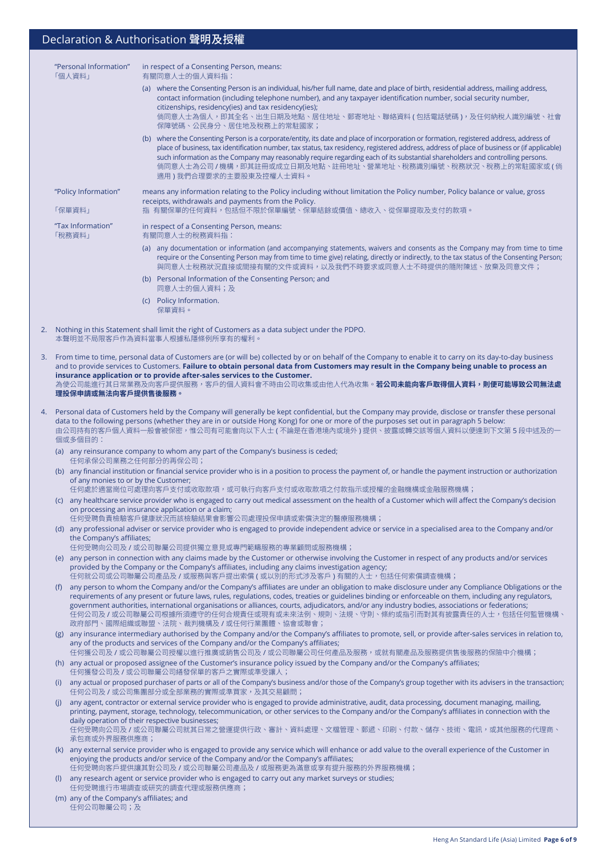|    |                  | "Personal Information"<br>「個人資料」                       | in respect of a Consenting Person, means:<br>有關同意人士的個人資料指:                                                                                                                                                                                                                                                                                                                                                                                                                                                                                                                             |
|----|------------------|--------------------------------------------------------|----------------------------------------------------------------------------------------------------------------------------------------------------------------------------------------------------------------------------------------------------------------------------------------------------------------------------------------------------------------------------------------------------------------------------------------------------------------------------------------------------------------------------------------------------------------------------------------|
|    |                  |                                                        | (a) where the Consenting Person is an individual, his/her full name, date and place of birth, residential address, mailing address,<br>contact information (including telephone number), and any taxpayer identification number, social security number,<br>citizenships, residency(ies) and tax residency(ies);<br>倘同意人士為個人,即其全名、出生日期及地點、居住地址、郵寄地址、聯絡資料 ( 包括電話號碼 ),及任何納稅人識別編號、社會                                                                                                                                                                                                      |
|    |                  |                                                        | 保障號碼、公民身分、居住地及稅務上的常駐國家;                                                                                                                                                                                                                                                                                                                                                                                                                                                                                                                                                                |
|    |                  |                                                        | (b) where the Consenting Person is a corporate/entity, its date and place of incorporation or formation, registered address, address of<br>place of business, tax identification number, tax status, tax residency, registered address, address of place of business or (if applicable)<br>such information as the Company may reasonably require regarding each of its substantial shareholders and controlling persons.<br>倘同意人士為公司 / 機構,即其註冊或成立日期及地點、註冊地址、營業地址、稅務識別編號、稅務狀況、稅務上的常駐國家或 ( 倘<br>適用 ) 我們合理要求的主要股東及控權人士資料。                                                                |
|    |                  | "Policy Information"                                   | means any information relating to the Policy including without limitation the Policy number, Policy balance or value, gross<br>receipts, withdrawals and payments from the Policy.                                                                                                                                                                                                                                                                                                                                                                                                     |
|    |                  | 「保單資料」                                                 | 指 有關保單的任何資料,包括但不限於保單編號、保單結餘或價值、總收入、從保單提取及支付的款項。                                                                                                                                                                                                                                                                                                                                                                                                                                                                                                                                        |
|    |                  | "Tax Information"<br>「稅務資料」                            | in respect of a Consenting Person, means:<br>有關同意人士的稅務資料指:                                                                                                                                                                                                                                                                                                                                                                                                                                                                                                                             |
|    |                  |                                                        | (a) any documentation or information (and accompanying statements, waivers and consents as the Company may from time to time<br>require or the Consenting Person may from time to time give) relating, directly or indirectly, to the tax status of the Consenting Person;<br>與同意人士稅務狀況直接或間接有關的文件或資料,以及我們不時要求或同意人士不時提供的隨附陳述、放棄及同意文件;                                                                                                                                                                                                                                                   |
|    |                  |                                                        | (b) Personal Information of the Consenting Person; and<br>同意人士的個人資料;及                                                                                                                                                                                                                                                                                                                                                                                                                                                                                                                  |
|    |                  |                                                        | (c) Policy Information.<br>保單資料。                                                                                                                                                                                                                                                                                                                                                                                                                                                                                                                                                       |
| 2. |                  |                                                        | Nothing in this Statement shall limit the right of Customers as a data subject under the PDPO.<br>本聲明並不局限客戶作為資料當事人根據私隱條例所享有的權利。                                                                                                                                                                                                                                                                                                                                                                                                                                                        |
| 3. |                  |                                                        | From time to time, personal data of Customers are (or will be) collected by or on behalf of the Company to enable it to carry on its day-to-day business<br>and to provide services to Customers. Failure to obtain personal data from Customers may result in the Company being unable to process an<br>insurance application or to provide after-sales services to the Customer.<br>為使公司能進行其日常業務及向客戶提供服務,客戶的個人資料會不時由公司收集或由他人代為收集。 <b>若公司未能向客戶取得個人資料,則便可能導致公司無法處</b>                                                                                                                  |
|    |                  | 理投保申請或無法向客戶提供售後服務。                                     |                                                                                                                                                                                                                                                                                                                                                                                                                                                                                                                                                                                        |
|    |                  | 個或多個目的:                                                | Personal data of Customers held by the Company will generally be kept confidential, but the Company may provide, disclose or transfer these personal<br>data to the following persons (whether they are in or outside Hong Kong) for one or more of the purposes set out in paragraph 5 below:<br>由公司持有的客户個人資料一般會被保密,惟公司有可能會向以下人士 ( 不論是在香港境内或境外 ) 提供、披露或轉交該等個人資料以便達到下文第 5 段中述及的一                                                                                                                                                                                                       |
|    |                  | 任何承保公司業務之任何部分的再保公司;                                    | (a) any reinsurance company to whom any part of the Company's business is ceded;                                                                                                                                                                                                                                                                                                                                                                                                                                                                                                       |
|    |                  | of any monies to or by the Customer;                   | (b) any financial institution or financial service provider who is in a position to process the payment of, or handle the payment instruction or authorization                                                                                                                                                                                                                                                                                                                                                                                                                         |
|    |                  |                                                        | 任何處於適當崗位可處理向客戶支付或收取款項,或可執行向客戶支付或收取款項之付款指示或授權的金融機構或金融服務機構;<br>(c) any healthcare service provider who is engaged to carry out medical assessment on the health of a Customer which will affect the Company's decision                                                                                                                                                                                                                                                                                                                                                                   |
|    |                  |                                                        | on processing an insurance application or a claim;<br>任何受聘負責檢驗客戶健康狀況而該檢驗結果會影響公司處理投保申請或索償決定的醫療服務機構;<br>(d) any professional adviser or service provider who is engaged to provide independent advice or service in a specialised area to the Company and/or                                                                                                                                                                                                                                                                                                                             |
|    |                  | the Company's affiliates;                              | 任何受聘向公司及 / 或公司聯屬公司提供獨立意見或專門範疇服務的專業顧問或服務機構;                                                                                                                                                                                                                                                                                                                                                                                                                                                                                                                                             |
|    |                  |                                                        | (e) any person in connection with any claims made by the Customer or otherwise involving the Customer in respect of any products and/or services<br>provided by the Company or the Company's affiliates, including any claims investigation agency;<br>任何就公司或公司聯屬公司產品及 / 或服務與客戶提出索償 ( 或以別的形式涉及客戶 ) 有關的人士,包括任何索償調查機構;                                                                                                                                                                                                                                                                   |
|    | (f)              |                                                        | any person to whom the Company and/or the Company's affiliates are under an obligation to make disclosure under any Compliance Obligations or the<br>requirements of any present or future laws, rules, regulations, codes, treaties or guidelines binding or enforceable on them, including any regulators,<br>government authorities, international organisations or alliances, courts, adjudicators, and/or any industry bodies, associations or federations;<br>任何公司及 / 或公司聯屬公司根據所須遵守的任何合規責任或現有或未來法例、規則、法規、守則、條約或指引而對其有披露責任的人士,包括任何監管機構、<br>政府部門、國際組織或聯盟、法院、裁判機構及 / 或任何行業團體、協會或聯會; |
|    |                  |                                                        | (g) any insurance intermediary authorised by the Company and/or the Company's affiliates to promote, sell, or provide after-sales services in relation to,<br>any of the products and services of the Company and/or the Company's affiliates;<br>任何獲公司及 / 或公司聯屬公司授權以進行推廣或銷售公司及 / 或公司聯屬公司任何產品及服務,或就有關產品及服務提供售後服務的保險中介機構;                                                                                                                                                                                                                                                               |
|    |                  |                                                        | (h) any actual or proposed assignee of the Customer's insurance policy issued by the Company and/or the Company's affiliates;<br>任何獲發公司及 / 或公司聯屬公司繕發保單的客戶之實際或準受讓人;                                                                                                                                                                                                                                                                                                                                                                                                                     |
|    | $\left(1\right)$ |                                                        | any actual or proposed purchaser of parts or all of the Company's business and/or those of the Company's group together with its advisers in the transaction;<br>任何公司及 / 或公司集團部分或全部業務的實際或準買家,及其交易顧問;                                                                                                                                                                                                                                                                                                                                                                                   |
|    | (i)              | 承包商或外界服務供應商;                                           | any agent, contractor or external service provider who is engaged to provide administrative, audit, data processing, document managing, mailing,<br>printing, payment, storage, technology, telecommunication, or other services to the Company and/or the Company's affiliates in connection with the<br>daily operation of their respective businesses;<br>任何受聘向公司及 / 或公司聯屬公司就其日常之營運提供行政、審計、資料處理、文檔管理、郵遞、印刷、付款、儲存、技術、電訊,或其他服務的代理商、                                                                                                                                                   |
|    |                  |                                                        | (k) any external service provider who is engaged to provide any service which will enhance or add value to the overall experience of the Customer in<br>enjoying the products and/or service of the Company and/or the Company's affiliates;<br>任何受聘向客戶提供讓其對公司及 / 或公司聯屬公司產品及 / 或服務更為滿意或享有提升服務的外界服務機構;                                                                                                                                                                                                                                                                                  |
|    | (I)              |                                                        | any research agent or service provider who is engaged to carry out any market surveys or studies;<br>任何受聘進行市場調查或研究的調查代理或服務供應商;                                                                                                                                                                                                                                                                                                                                                                                                                                                         |
|    |                  | (m) any of the Company's affiliates; and<br>任何公司聯屬公司;及 |                                                                                                                                                                                                                                                                                                                                                                                                                                                                                                                                                                                        |
|    |                  |                                                        |                                                                                                                                                                                                                                                                                                                                                                                                                                                                                                                                                                                        |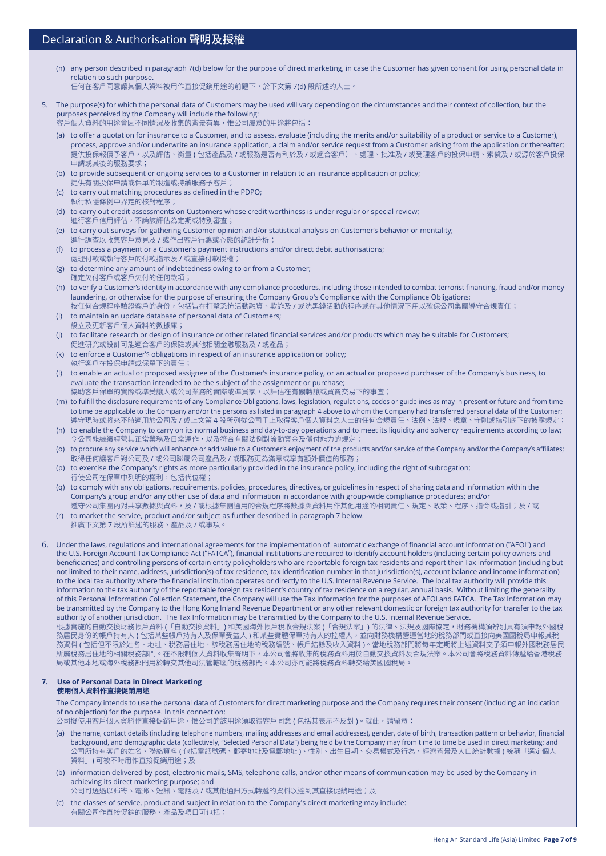- (n) any person described in paragraph 7(d) below for the purpose of direct marketing, in case the Customer has given consent for using personal data in relation to such purpose.
	- 任何在客戶同意讓其個人資料被用作直接促銷用途的前題下,於下文第 7(d) 段所述的人士。
- 5. The purpose(s) for which the personal data of Customers may be used will vary depending on the circumstances and their context of collection, but the purposes perceived by the Company will include the following: 客戶個人資料的用途會因不同情況及收集的背景有異,惟公司屬意的用途將包括:
	- (a) to offer a quotation for insurance to a Customer, and to assess, evaluate (including the merits and/or suitability of a product or service to a Customer), process, approve and/or underwrite an insurance application, a claim and/or service request from a Customer arising from the application or thereafter; 提供投保報價予客戶,以及評估、衡量 ( 包括產品及 / 或服務是否有利於及 / 或適合客戶)、處理、批准及 / 或受理客戶的投保申請、索償及 / 或源於客戶投保 申請或其後的服務要求;
	- (b) to provide subsequent or ongoing services to a Customer in relation to an insurance application or policy; 提供有關投保申請或保單的跟進或持續服務予客戶;
	- (c) to carry out matching procedures as defined in the PDPO; 執行私隱條例中界定的核對程序;
	- (d) to carry out credit assessments on Customers whose credit worthiness is under regular or special review; 進行客戶信用評估,不論該評估為定期或特別審查;
	- (e) to carry out surveys for gathering Customer opinion and/or statistical analysis on Customer's behavior or mentality; 進行調查以收集客戶意見及 / 或作出客戶行為或心態的統計分析;
	- (f) to process a payment or a Customer's payment instructions and/or direct debit authorisations; 處理付款或執行客戶的付款指示及 / 或直接付款授權;
	- (g) to determine any amount of indebtedness owing to or from a Customer; 確定欠付客戶或客戶欠付的任何款項;
	- (h) to verify a Customer's identity in accordance with any compliance procedures, including those intended to combat terrorist financing, fraud and/or money laundering, or otherwise for the purpose of ensuring the Company Group's Compliance with the Compliance Obligations; 按任何合規程序驗證客戶的身份,包括旨在打擊恐怖活動融資、欺詐及 / 或洗黑錢活動的程序或在其他情況下用以確保公司集團導守合規責任;
	- (i) to maintain an update database of personal data of Customers;
	- 設立及更新客戶個人資料的數據庫; (j) to facilitate research or design of insurance or other related financial services and/or products which may be suitable for Customers; 促進研究或設計可能適合客戶的保險或其他相關金融服務及 / 或產品;
	- (k) to enforce a Customer's obligations in respect of an insurance application or policy;
	- 執行客戶在投保申請或保單下的責任; (l) to enable an actual or proposed assignee of the Customer's insurance policy, or an actual or proposed purchaser of the Company's business, to evaluate the transaction intended to be the subject of the assignment or purchase;
		- 協助客戶保單的實際或準受讓人或公司業務的實際或準買家,以評估在有關轉讓或買賣交易下的事宜;
	- (m) to fulfill the disclosure requirements of any Compliance Obligations, laws, legislation, regulations, codes or guidelines as may in present or future and from time to time be applicable to the Company and/or the persons as listed in paragraph 4 above to whom the Company had transferred personal data of the Customer; 遵守現時或將來不時適用於公司及 / 或上文第 4 段所列從公司手上取得客戶個人資料之人士的任何合規責任、法例、法規、規章、守則或指引底下的披露規定;
	- (n) to enable the Company to carry on its normal business and day-to-day operations and to meet its liquidity and solvency requirements according to law; 。<br>令公司能繼續經營其正常業務及日常運作,以及符合有關法例對流動資金及償付能力的規定;
	- (o) to procure any service which will enhance or add value to a Customer's enjoyment of the products and/or service of the Company and/or the Company's affiliates; 取得任何讓客戶對公司及 / 或公司聯屬公司產品及 / 或服務更為滿意或享有額外價值的服務;
	- (p) to exercise the Company's rights as more particularly provided in the insurance policy, including the right of subrogation; 行使公司在保單中列明的權利,包括代位權;
	- (q) to comply with any obligations, requirements, policies, procedures, directives, or guidelines in respect of sharing data and information within the Company's group and/or any other use of data and information in accordance with group-wide compliance procedures; and/or 遵守公司集團內對共享數據與資料,及 / 或根據集團通用的合規程序將數據與資料用作其他用途的相關責任、規定、政策、程序、指令或指引;及 / 或
	- (r) to market the service, product and/or subject as further described in paragraph 7 below. 推廣下文第 7 段所詳述的服務、產品及 / 或事項。

6. Under the laws, regulations and international agreements for the implementation of automatic exchange of financial account information ("AEOI") and the U.S. Foreign Account Tax Compliance Act ("FATCA"), financial institutions are required to identify account holders (including certain policy owners and beneficiaries) and controlling persons of certain entity policyholders who are reportable foreign tax residents and report their Tax Information (including but not limited to their name, address, jurisdiction(s) of tax residence, tax identification number in that jurisdiction(s), account balance and income information) to the local tax authority where the financial institution operates or directly to the U.S. Internal Revenue Service. The local tax authority will provide this information to the tax authority of the reportable foreign tax resident's country of tax residence on a regular, annual basis. without limiting the generality of this Personal Information Collection Statement, the Company will use the Tax Information for the purposes of AEOI and FATCA. The Tax Information may be transmitted by the Company to the Hong Kong Inland Revenue Department or any other relevant domestic or foreign tax authority for transfer to the tax authority of another jurisdiction. The Tax Information may be transmitted by the Company to the U.S. Internal Revenue Service. 根據實施的自動交換財務帳戶資料 (「自動交換資料」) 和美國海外帳戶稅收合規法案 (「合規法案」) 的法律、法規及國際協定,財務機構須辨別具有須申報外國稅 務居民身份的帳戶持有人 ( 包括某些帳戶持有人及保單受益人 ) 和某些實體保單持有人的控權人,並向財務機構營運當地的稅務部門或直接向美國國稅局申報其稅

務資料 ( 包括但不限於姓名、地址、稅務居住地、該稅務居住地的稅務編號、帳戶結餘及收入資料 )。當地稅務部門將每年定期將上述資料交予須申報外國稅務居民 所屬稅務居住地的相關稅務部門。在不限制個人資料收集聲明下,本公司會將收集的稅務資料用於自動交換資料及合規法案。本公司會將稅務資料傳遞給香港稅務 局或其他本地或海外稅務部門用於轉交其他司法管轄區的稅務部門。本公司亦可能將稅務資料轉交給美國國稅局。

#### **7. Use of Personal Data in Direct Marketing 使用個人資料作直接促銷用途**

The Company intends to use the personal data of Customers for direct marketing purpose and the Company requires their consent (including an indication of no objection) for the purpose. In this connection:

公司擬使用客戶個人資料作直接促銷用途,惟公司的該用途須取得客戶同意 ( 包括其表示不反對 )。就此,請留意:

- (a) the name, contact details (including telephone numbers, mailing addresses and email addresses), gender, date of birth, transaction pattern or behavior, financial background, and demographic data (collectively, "Selected Personal Data") being held by the Company may from time to time be used in direct marketing; and 公司所持有客戶的姓名、聯絡資料 ( 包括電話號碼、郵寄地址及電郵地址 )、性別、出生日期、交易模式及行為、經濟背景及人口統計數據 ( 統稱「選定個人 資料」) 可被不時用作直接促銷用途;及
- (b) information delivered by post, electronic mails, SMS, telephone calls, and/or other means of communication may be used by the Company in achieving its direct marketing purpose; and

公司可透過以郵寄、電郵、短訊、電話及/或其他通訊方式轉遞的資料以達到其直接促銷用途;及

(c) the classes of service, product and subject in relation to the Company's direct marketing may include: 有關公司作直接促銷的服務、產品及項目可包括: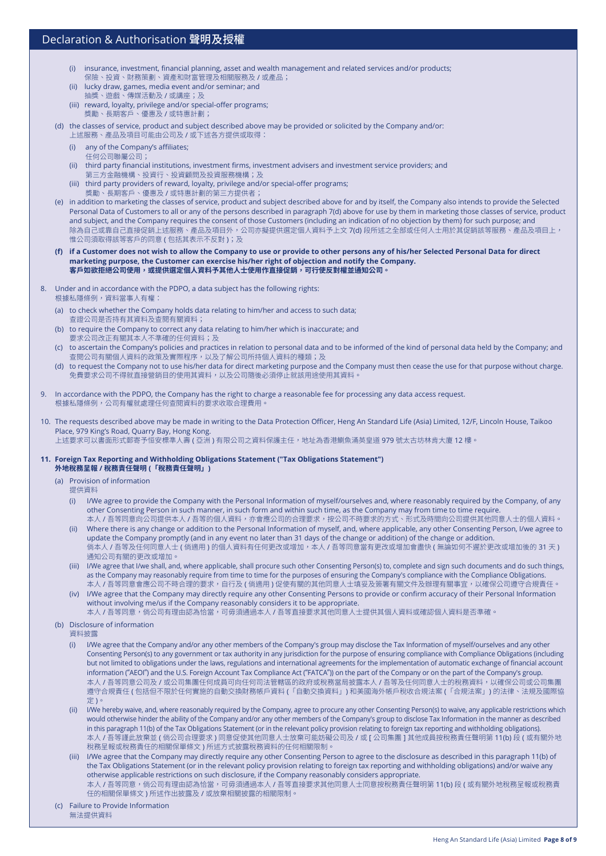- (i) insurance, investment, financial planning, asset and wealth management and related services and/or products;
- 保險、投資、財務策劃、資產和財富管理及相關服務及 / 或產品;
- (ii) lucky draw, games, media event and/or seminar; and 抽獎、遊戲、傳媒活動及 / 或講座;及
- (iii) reward, loyalty, privilege and/or special-offer programs; 獎勵、長期客戶、優惠及 / 或特惠計劃;
- (d) the classes of service, product and subject described above may be provided or solicited by the Company and/or: 上述服務、產品及項目可能由公司及 / 或下述各方提供或取得:
	- (i) any of the Company's affiliates;
	- 任何公司聯屬公司;
	- (ii) third party financial institutions, investment firms, investment advisers and investment service providers; and 第三方金融機構、投資行、投資顧問及投資服務機構;及
	- (iii) third party providers of reward, loyalty, privilege and/or special-offer programs; 獎勵、長期客戶、優惠及 / 或特惠計劃的第三方提供者;
- (e) in addition to marketing the classes of service, product and subject described above for and by itself, the Company also intends to provide the Selected Personal Data of Customers to all or any of the persons described in paragraph 7(d) above for use by them in marketing those classes of service, product and subject, and the Company requires the consent of those Customers (including an indication of no objection by them) for such purpose; and 除為自己或靠自己直接促銷上述服務、產品及項目外,公司亦擬提供選定個人資料予上文 7(d) 段所述之全部或任何人士用於其促銷該等服務、產品及項目上, 惟公司須取得該等客戶的同意 (包括其表示不反對);及
- (f) if a Customer does not wish to allow the Company to use or provide to other persons any of his/her Selected Personal Data for direct **marketing purpose, the Customer can exercise his/her right of objection and notify the Company. 客戶如欲拒絕公司使用,或提供選定個人資料予其他人士使用作直接促銷,可行使反對權並通知公司。**
- 8. Under and in accordance with the PDPO, a data subject has the following rights: 根據私隱條例,資料當事人有權:
	- (a) to check whether the Company holds data relating to him/her and access to such data; 查證公司是否持有其資料及查閱有關資料;
	- (b) to require the Company to correct any data relating to him/her which is inaccurate; and 要求公司改正有關其本人不準確的任何資料;及
	- (c) to ascertain the Company's policies and practices in relation to personal data and to be informed of the kind of personal data held by the Company; and 查閱公司有關個人資料的政策及實際程序,以及了解公司所持個人資料的種類;及
	- (d) to request the Company not to use his/her data for direct marketing purpose and the Company must then cease the use for that purpose without charge. 免費要求公司不得就直接營銷目的使用其資料,以及公司隨後必須停止就該用途使用其資料
- 9. In accordance with the PDPO, the Company has the right to charge a reasonable fee for processing any data access request. 根據私隱條例,公司有權就處理任何查閱資料的要求收取合理費用。
- 10. The requests described above may be made in writing to the Data Protection Officer, Heng An Standard Life (Asia) Limited, 12/F, Lincoln House, Taikoo Place, 979 King's Road, Quarry Bay, Hong Kong. 上述要求可以書面形式郵寄予恒安標準人壽 ( 亞洲 ) 有限公司之資料保護主任,地址為香港鰂魚涌英皇道 979 號太古坊林肯大廈 12 樓。
- **11. Foreign Tax Reporting and Withholding Obligations Statement ("Tax Obligations Statement") 外地稅務呈報 / 稅務責任聲明 (「稅務責任聲明」)**
	- (a) Provision of information
		- 提供資料
		- (i) I/we agree to provide the Company with the Personal Information of myself/ourselves and, where reasonably required by the Company, of any other Consenting Person in such manner, in such form and within such time, as the Company may from time to time require. 本人 / 吾等同意向公司提供本人 / 吾等的個人資料,亦會應公司的合理要求,按公司不時要求的方式、形式及時間向公司提供其他同意人士的個人資料。
		- (ii) where there is any change or addition to the Personal Information of myself, and, where applicable, any other Consenting Person, I/we agree to update the Company promptly (and in any event no later than 31 days of the change or addition) of the change or addition. 倘本人 / 吾等及任何同意人士 ( 倘適用 ) 的個人資料有任何更改或增加,本人 / 吾等同意當有更改或增加會盡快 ( 無論如何不遲於更改或增加後的 31 天 ) 通知公司有關的更改或增加。
		- (iii) I/we agree that I/we shall, and, where applicable, shall procure such other Consenting Person(s) to, complete and sign such documents and do such things, as the Company may reasonably require from time to time for the purposes of ensuring the Company's compliance with the Compliance Obligations. 本人 / 吾等同意會應公司不時合理的要求,自行及 ( 倘適用 ) 促使有關的其他同意人士填妥及簽署有關文件及辦理有關事宜,以確保公司遵守合規責任。
		- (iv) I/we agree that the Company may directly require any other Consenting Persons to provide or confirm accuracy of their Personal Information without involving me/us if the Company reasonably considers it to be appropriate.

本人 / 吾等同意,倘公司有理由認為恰當,可毋須通過本人 / 吾等直接要求其他同意人士提供其個人資料或確認個人資料是否準確。

(b) Disclosure of information

資料披露

- (i) I/we agree that the Company and/or any other members of the Company's group may disclose the Tax Information of myself/ourselves and any other Consenting Person(s) to any government or tax authority in any jurisdiction for the purpose of ensuring compliance with Compliance Obligations (including but not limited to obligations under the laws, regulations and international agreements for the implementation of automatic exchange of financial account information ("AEOI") and the U.S. Foreign Account Tax Compliance Act ("FATCA")) on the part of the Company or on the part of the Company's group. 本人 / 吾等同意公司及 / 或公司集團任何成員可向任何司法管轄區的政府或稅務當局披露本人 / 吾等及任何同意人士的稅務資料,以確保公司或公司集團 遵守合規責任 ( 包括但不限於任何實施的自動交換財務帳戶資料 (「自動交換資料」) 和美國海外帳戶稅收合規法案 (「合規法案」) 的法律、法規及國際協 定 )。
- (ii) I/we hereby waive, and, where reasonably required by the Company, agree to procure any other Consenting Person(s) to waive, any applicable restrictions which would otherwise hinder the ability of the Company and/or any other members of the Company's group to disclose Tax Information in the manner as described in this paragraph 11(b) of the Tax Obligations Statement (or in the relevant policy provision relating to foreign tax reporting and withholding obligations). 本人 / 吾等謹此放棄並 ( 倘公司合理要求 ) 同意促使其他同意人士放棄可能妨礙公司及 / 或 [ 公司集團 ] 其他成員按稅務責任聲明第 11(b) 段 ( 或有關外地 稅務呈報或稅務責任的相關保單條文 ) 所述方式披露稅務資料的任何相關限制。
- (iii) I/we agree that the Company may directly require any other Consenting Person to agree to the disclosure as described in this paragraph 11(b) of the Tax Obligations Statement (or in the relevant policy provision relating to foreign tax reporting and withholding obligations) and/or waive any otherwise applicable restrictions on such disclosure, if the Company reasonably considers appropriate. 本人 / 吾等同意,倘公司有理由認為恰當,可毋須通過本人 / 吾等直接要求其他同意人士同意按稅務責任聲明第 11(b) 段 ( 或有關外地稅務呈報或稅務責 任的相關保單條文 ) 所述作出披露及 / 或放棄相關披露的相關限制。
- (c) Failure to Provide Information 無法提供資料